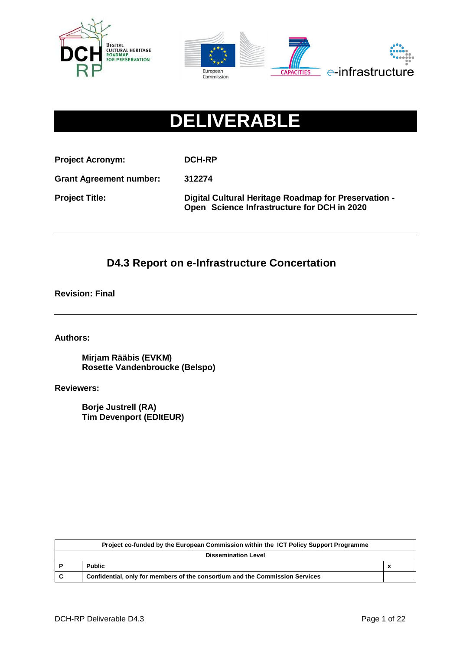



# **DELIVERABLE**

**Project Acronym: DCH-RP**

**Grant Agreement number: 312274**

**Project Title: Digital Cultural Heritage Roadmap for Preservation - Open Science Infrastructure for DCH in 2020**

# **D4.3 Report on e-Infrastructure Concertation**

**Revision: Final**

**Authors:** 

**Mirjam Rääbis (EVKM) Rosette Vandenbroucke (Belspo)**

**Reviewers:** 

**Borje Justrell (RA) Tim Devenport (EDItEUR)**

|                            | Project co-funded by the European Commission within the ICT Policy Support Programme |                           |
|----------------------------|--------------------------------------------------------------------------------------|---------------------------|
| <b>Dissemination Level</b> |                                                                                      |                           |
|                            | <b>Public</b>                                                                        | $\boldsymbol{\mathsf{A}}$ |
| C                          | Confidential, only for members of the consortium and the Commission Services         |                           |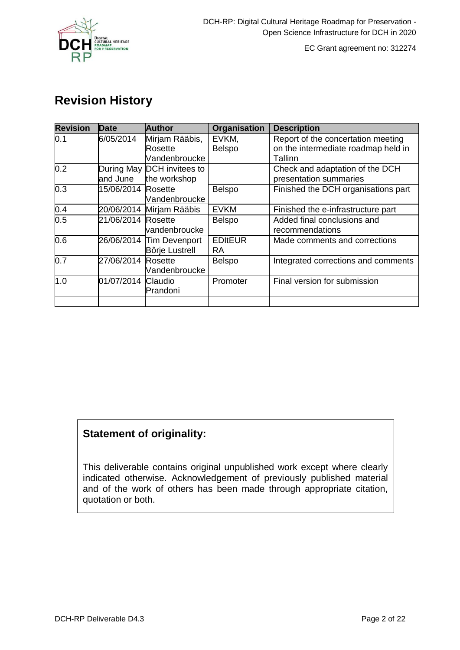

# **Revision History**

| <b>Revision</b> | <b>Date</b>            | <b>Author</b>                              | Organisation           | <b>Description</b>                                                                   |
|-----------------|------------------------|--------------------------------------------|------------------------|--------------------------------------------------------------------------------------|
| 0.1             | 6/05/2014              | Mirjam Rääbis,<br>Rosette<br>Vandenbroucke | EVKM,<br><b>Belspo</b> | Report of the concertation meeting<br>on the intermediate roadmap held in<br>Tallinn |
| 0.2             | During May<br>and June | DCH invitees to<br>the workshop            |                        | Check and adaptation of the DCH<br>presentation summaries                            |
| 0.3             | 15/06/2014             | Rosette<br>Vandenbroucke                   | Belspo                 | Finished the DCH organisations part                                                  |
| 0.4             | 20/06/2014             | Mirjam Rääbis                              | <b>EVKM</b>            | Finished the e-infrastructure part                                                   |
| 0.5             | 21/06/2014             | Rosette<br>vandenbroucke                   | <b>Belspo</b>          | Added final conclusions and<br>recommendations                                       |
| 0.6             | 26/06/2014             | Tim Devenport<br>Bôrje Lustrell            | <b>EDItEUR</b><br>RA.  | Made comments and corrections                                                        |
| 0.7             | 27/06/2014             | Rosette<br>Vandenbroucke                   | <b>Belspo</b>          | Integrated corrections and comments                                                  |
| 1.0             | 01/07/2014             | Claudio<br>Prandoni                        | Promoter               | Final version for submission                                                         |
|                 |                        |                                            |                        |                                                                                      |

# **Statement of originality:**

This deliverable contains original unpublished work except where clearly indicated otherwise. Acknowledgement of previously published material and of the work of others has been made through appropriate citation, quotation or both.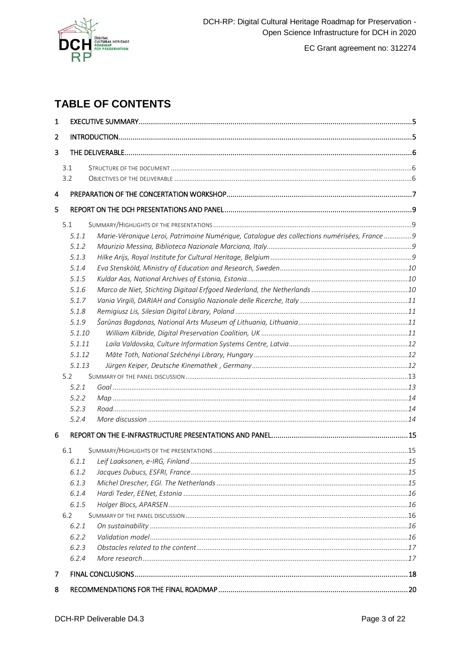

# **TABLE OF CONTENTS**

| $\mathbf{1}$   |                                                                                                     |  |  |  |
|----------------|-----------------------------------------------------------------------------------------------------|--|--|--|
| $\overline{2}$ |                                                                                                     |  |  |  |
| 3              |                                                                                                     |  |  |  |
|                | 3.1                                                                                                 |  |  |  |
|                | 3.2                                                                                                 |  |  |  |
|                |                                                                                                     |  |  |  |
| 4              |                                                                                                     |  |  |  |
| 5              |                                                                                                     |  |  |  |
|                | 5.1                                                                                                 |  |  |  |
|                | Marie-Véronique Leroi, Patrimoine Numérique, Catalogue des collections numérisées, France9<br>5.1.1 |  |  |  |
|                | 5.1.2                                                                                               |  |  |  |
|                | 5.1.3                                                                                               |  |  |  |
|                | 5.1.4                                                                                               |  |  |  |
|                | 5.1.5                                                                                               |  |  |  |
|                | 5.1.6                                                                                               |  |  |  |
|                | 5.1.7                                                                                               |  |  |  |
|                | 5.1.8                                                                                               |  |  |  |
|                | 5.1.9                                                                                               |  |  |  |
|                | 5.1.10                                                                                              |  |  |  |
|                | 5.1.11                                                                                              |  |  |  |
|                | 5.1.12                                                                                              |  |  |  |
|                | 5.1.13                                                                                              |  |  |  |
|                | 5.2                                                                                                 |  |  |  |
|                | 5.2.1                                                                                               |  |  |  |
|                | 5.2.2                                                                                               |  |  |  |
|                | 5.2.3                                                                                               |  |  |  |
|                | 5.2.4                                                                                               |  |  |  |
| 6              |                                                                                                     |  |  |  |
|                |                                                                                                     |  |  |  |
|                | 6.1                                                                                                 |  |  |  |
|                |                                                                                                     |  |  |  |
|                | 6.1.2                                                                                               |  |  |  |
|                | 6.1.3                                                                                               |  |  |  |
|                | 6.1.4                                                                                               |  |  |  |
|                | 6.1.5                                                                                               |  |  |  |
|                | 6.2                                                                                                 |  |  |  |
|                | 6.2.1                                                                                               |  |  |  |
|                | 6.2.2                                                                                               |  |  |  |
|                | 6.2.3                                                                                               |  |  |  |
|                | 6.2.4                                                                                               |  |  |  |
| 7              |                                                                                                     |  |  |  |
| 8              |                                                                                                     |  |  |  |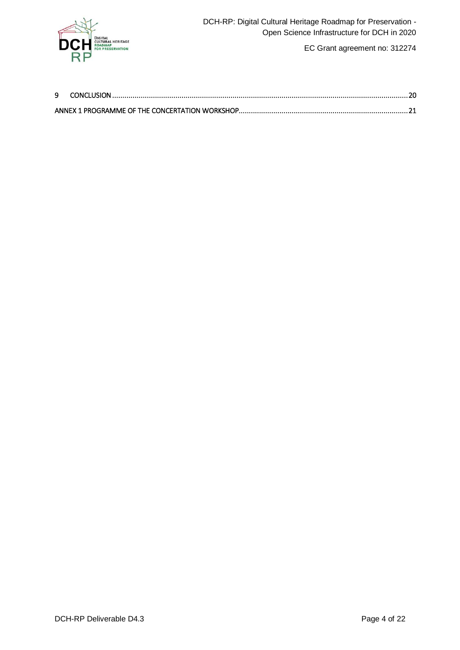

| 9 |  |
|---|--|
|   |  |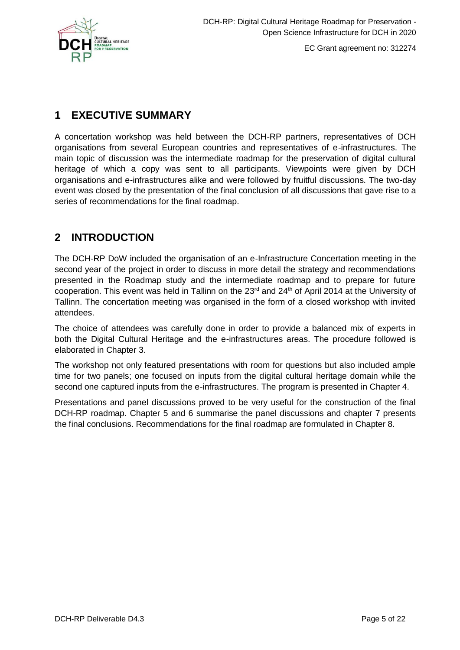

# <span id="page-4-0"></span>**1 EXECUTIVE SUMMARY**

A concertation workshop was held between the DCH-RP partners, representatives of DCH organisations from several European countries and representatives of e-infrastructures. The main topic of discussion was the intermediate roadmap for the preservation of digital cultural heritage of which a copy was sent to all participants. Viewpoints were given by DCH organisations and e-infrastructures alike and were followed by fruitful discussions. The two-day event was closed by the presentation of the final conclusion of all discussions that gave rise to a series of recommendations for the final roadmap.

# <span id="page-4-1"></span>**2 INTRODUCTION**

The DCH-RP DoW included the organisation of an e-Infrastructure Concertation meeting in the second year of the project in order to discuss in more detail the strategy and recommendations presented in the Roadmap study and the intermediate roadmap and to prepare for future cooperation. This event was held in Tallinn on the 23<sup>rd</sup> and 24<sup>th</sup> of April 2014 at the University of Tallinn. The concertation meeting was organised in the form of a closed workshop with invited attendees.

The choice of attendees was carefully done in order to provide a balanced mix of experts in both the Digital Cultural Heritage and the e-infrastructures areas. The procedure followed is elaborated in Chapter 3.

The workshop not only featured presentations with room for questions but also included ample time for two panels; one focused on inputs from the digital cultural heritage domain while the second one captured inputs from the e-infrastructures. The program is presented in Chapter 4.

Presentations and panel discussions proved to be very useful for the construction of the final DCH-RP roadmap. Chapter 5 and 6 summarise the panel discussions and chapter 7 presents the final conclusions. Recommendations for the final roadmap are formulated in Chapter 8.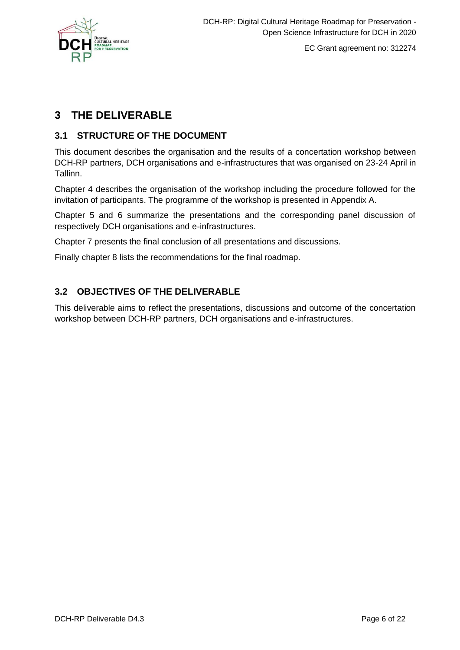

# <span id="page-5-0"></span>**3 THE DELIVERABLE**

### <span id="page-5-1"></span>**3.1 STRUCTURE OF THE DOCUMENT**

This document describes the organisation and the results of a concertation workshop between DCH-RP partners, DCH organisations and e-infrastructures that was organised on 23-24 April in Tallinn.

Chapter 4 describes the organisation of the workshop including the procedure followed for the invitation of participants. The programme of the workshop is presented in Appendix A.

Chapter 5 and 6 summarize the presentations and the corresponding panel discussion of respectively DCH organisations and e-infrastructures.

Chapter 7 presents the final conclusion of all presentations and discussions.

Finally chapter 8 lists the recommendations for the final roadmap.

### <span id="page-5-2"></span>**3.2 OBJECTIVES OF THE DELIVERABLE**

This deliverable aims to reflect the presentations, discussions and outcome of the concertation workshop between DCH-RP partners, DCH organisations and e-infrastructures.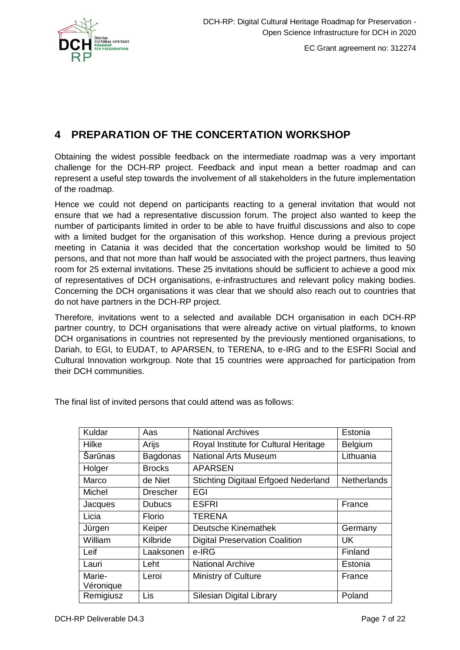

# <span id="page-6-0"></span>**4 PREPARATION OF THE CONCERTATION WORKSHOP**

Obtaining the widest possible feedback on the intermediate roadmap was a very important challenge for the DCH-RP project. Feedback and input mean a better roadmap and can represent a useful step towards the involvement of all stakeholders in the future implementation of the roadmap.

Hence we could not depend on participants reacting to a general invitation that would not ensure that we had a representative discussion forum. The project also wanted to keep the number of participants limited in order to be able to have fruitful discussions and also to cope with a limited budget for the organisation of this workshop. Hence during a previous project meeting in Catania it was decided that the concertation workshop would be limited to 50 persons, and that not more than half would be associated with the project partners, thus leaving room for 25 external invitations. These 25 invitations should be sufficient to achieve a good mix of representatives of DCH organisations, e-infrastructures and relevant policy making bodies. Concerning the DCH organisations it was clear that we should also reach out to countries that do not have partners in the DCH-RP project.

Therefore, invitations went to a selected and available DCH organisation in each DCH-RP partner country, to DCH organisations that were already active on virtual platforms, to known DCH organisations in countries not represented by the previously mentioned organisations, to Dariah, to EGI, to EUDAT, to APARSEN, to TERENA, to e-IRG and to the ESFRI Social and Cultural Innovation workgroup. Note that 15 countries were approached for participation from their DCH communities.

| Kuldar        | Aas             | <b>National Archives</b>                    | Estonia            |
|---------------|-----------------|---------------------------------------------|--------------------|
| Hilke         | Arijs           | Royal Institute for Cultural Heritage       | <b>Belgium</b>     |
| Šarūnas       | <b>Bagdonas</b> | <b>National Arts Museum</b>                 | Lithuania          |
| Holger        | <b>Brocks</b>   | <b>APARSEN</b>                              |                    |
| Marco         | de Niet         | <b>Stichting Digitaal Erfgoed Nederland</b> | <b>Netherlands</b> |
| <b>Michel</b> | <b>Drescher</b> | EGI                                         |                    |
| Jacques       | <b>Dubucs</b>   | <b>ESFRI</b>                                | France             |
| Licia         | Florio          | <b>TERENA</b>                               |                    |
| Jürgen        | Keiper          | Deutsche Kinemathek                         | Germany            |
| William       | Kilbride        | <b>Digital Preservation Coalition</b>       | UK                 |
| Leif          | Laaksonen       | e-IRG                                       | Finland            |
| Lauri         | Leht            | <b>National Archive</b>                     | Estonia            |
| Marie-        | Leroi           | Ministry of Culture                         | France             |
| Véronique     |                 |                                             |                    |
| Remigiusz     | Lis             | Silesian Digital Library                    | Poland             |

The final list of invited persons that could attend was as follows: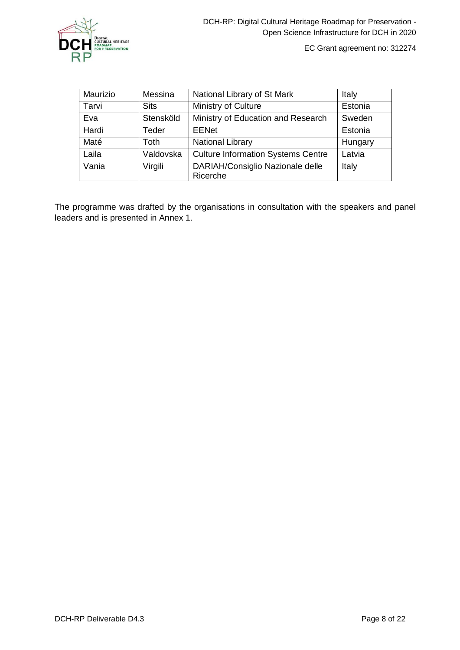

| Maurizio | Messina     | National Library of St Mark                  | Italy   |
|----------|-------------|----------------------------------------------|---------|
| Tarvi    | <b>Sits</b> | Ministry of Culture                          | Estonia |
| Eva      | Stensköld   | Ministry of Education and Research           | Sweden  |
| Hardi    | Teder       | <b>EENet</b>                                 | Estonia |
| Maté     | <b>Toth</b> | <b>National Library</b>                      | Hungary |
| Laila    | Valdovska   | <b>Culture Information Systems Centre</b>    | Latvia  |
| Vania    | Virgili     | DARIAH/Consiglio Nazionale delle<br>Ricerche | Italy   |

The programme was drafted by the organisations in consultation with the speakers and panel leaders and is presented in Annex 1.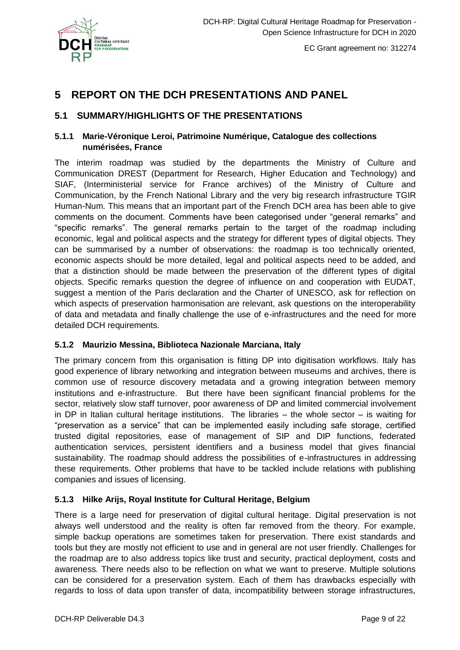

# <span id="page-8-0"></span>**5 REPORT ON THE DCH PRESENTATIONS AND PANEL**

### <span id="page-8-1"></span>**5.1 SUMMARY/HIGHLIGHTS OF THE PRESENTATIONS**

#### <span id="page-8-2"></span>**5.1.1 Marie-Véronique Leroi, Patrimoine Numérique, Catalogue des collections numérisées, France**

The interim roadmap was studied by the departments the Ministry of Culture and Communication DREST (Department for Research, Higher Education and Technology) and SIAF, (Interministerial service for France archives) of the Ministry of Culture and Communication, by the French National Library and the very big research infrastructure TGIR Human-Num. This means that an important part of the French DCH area has been able to give comments on the document. Comments have been categorised under "general remarks" and "specific remarks". The general remarks pertain to the target of the roadmap including economic, legal and political aspects and the strategy for different types of digital objects. They can be summarised by a number of observations: the roadmap is too technically oriented, economic aspects should be more detailed, legal and political aspects need to be added, and that a distinction should be made between the preservation of the different types of digital objects. Specific remarks question the degree of influence on and cooperation with EUDAT, suggest a mention of the Paris declaration and the Charter of UNESCO, ask for reflection on which aspects of preservation harmonisation are relevant, ask questions on the interoperability of data and metadata and finally challenge the use of e-infrastructures and the need for more detailed DCH requirements.

#### <span id="page-8-3"></span>**5.1.2 Maurizio Messina, Biblioteca Nazionale Marciana, Italy**

The primary concern from this organisation is fitting DP into digitisation workflows. Italy has good experience of library networking and integration between museums and archives, there is common use of resource discovery metadata and a growing integration between memory institutions and e-infrastructure. But there have been significant financial problems for the sector, relatively slow staff turnover, poor awareness of DP and limited commercial involvement in DP in Italian cultural heritage institutions. The libraries – the whole sector – is waiting for "preservation as a service" that can be implemented easily including safe storage, certified trusted digital repositories, ease of management of SIP and DIP functions, federated authentication services, persistent identifiers and a business model that gives financial sustainability. The roadmap should address the possibilities of e-infrastructures in addressing these requirements. Other problems that have to be tackled include relations with publishing companies and issues of licensing.

#### <span id="page-8-4"></span>**5.1.3 Hilke Arijs, Royal Institute for Cultural Heritage, Belgium**

There is a large need for preservation of digital cultural heritage. Digital preservation is not always well understood and the reality is often far removed from the theory. For example, simple backup operations are sometimes taken for preservation. There exist standards and tools but they are mostly not efficient to use and in general are not user friendly. Challenges for the roadmap are to also address topics like trust and security, practical deployment, costs and awareness. There needs also to be reflection on what we want to preserve. Multiple solutions can be considered for a preservation system. Each of them has drawbacks especially with regards to loss of data upon transfer of data, incompatibility between storage infrastructures,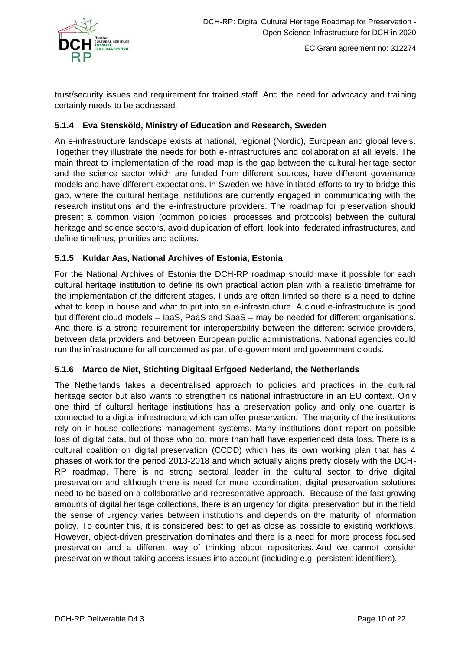

trust/security issues and requirement for trained staff. And the need for advocacy and training certainly needs to be addressed.

### <span id="page-9-0"></span>**5.1.4 Eva Stensköld, Ministry of Education and Research, Sweden**

An e-infrastructure landscape exists at national, regional (Nordic), European and global levels. Together they illustrate the needs for both e-infrastructures and collaboration at all levels. The main threat to implementation of the road map is the gap between the cultural heritage sector and the science sector which are funded from different sources, have different governance models and have different expectations. In Sweden we have initiated efforts to try to bridge this gap, where the cultural heritage institutions are currently engaged in communicating with the research institutions and the e-infrastructure providers. The roadmap for preservation should present a common vision (common policies, processes and protocols) between the cultural heritage and science sectors, avoid duplication of effort, look into federated infrastructures, and define timelines, priorities and actions.

### <span id="page-9-1"></span>**5.1.5 Kuldar Aas, National Archives of Estonia, Estonia**

For the National Archives of Estonia the DCH-RP roadmap should make it possible for each cultural heritage institution to define its own practical action plan with a realistic timeframe for the implementation of the different stages. Funds are often limited so there is a need to define what to keep in house and what to put into an e-infrastructure. A cloud e-infrastructure is good but different cloud models – IaaS, PaaS and SaaS – may be needed for different organisations. And there is a strong requirement for interoperability between the different service providers, between data providers and between European public administrations. National agencies could run the infrastructure for all concerned as part of e-government and government clouds.

#### <span id="page-9-2"></span>**5.1.6 Marco de Niet, Stichting Digitaal Erfgoed Nederland, the Netherlands**

The Netherlands takes a decentralised approach to policies and practices in the cultural heritage sector but also wants to strengthen its national infrastructure in an EU context. Only one third of cultural heritage institutions has a preservation policy and only one quarter is connected to a digital infrastructure which can offer preservation. The majority of the institutions rely on in-house collections management systems. Many institutions don't report on possible loss of digital data, but of those who do, more than half have experienced data loss. There is a cultural coalition on digital preservation (CCDD) which has its own working plan that has 4 phases of work for the period 2013-2018 and which actually aligns pretty closely with the DCH-RP roadmap. There is no strong sectoral leader in the cultural sector to drive digital preservation and although there is need for more coordination, digital preservation solutions need to be based on a collaborative and representative approach. Because of the fast growing amounts of digital heritage collections, there is an urgency for digital preservation but in the field the sense of urgency varies between institutions and depends on the maturity of information policy. To counter this, it is considered best to get as close as possible to existing workflows. However, object-driven preservation dominates and there is a need for more process focused preservation and a different way of thinking about repositories. And we cannot consider preservation without taking access issues into account (including e.g. persistent identifiers).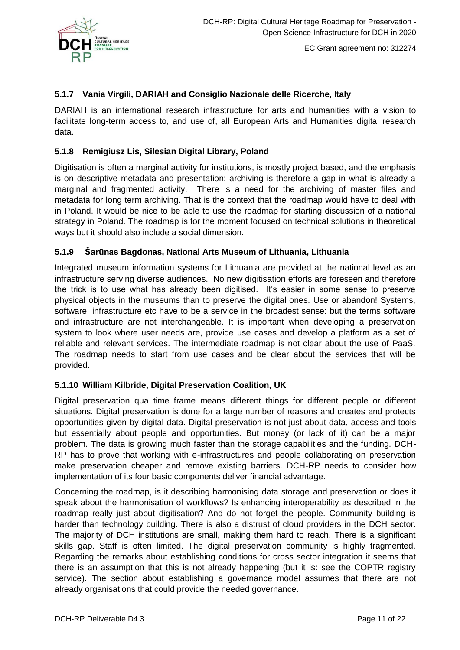

#### <span id="page-10-0"></span>**5.1.7 Vania Virgili, DARIAH and Consiglio Nazionale delle Ricerche, Italy**

DARIAH is an international research infrastructure for arts and humanities with a vision to facilitate long-term access to, and use of, all European Arts and Humanities digital research data.

### <span id="page-10-1"></span>**5.1.8 Remigiusz Lis, Silesian Digital Library, Poland**

Digitisation is often a marginal activity for institutions, is mostly project based, and the emphasis is on descriptive metadata and presentation: archiving is therefore a gap in what is already a marginal and fragmented activity. There is a need for the archiving of master files and metadata for long term archiving. That is the context that the roadmap would have to deal with in Poland. It would be nice to be able to use the roadmap for starting discussion of a national strategy in Poland. The roadmap is for the moment focused on technical solutions in theoretical ways but it should also include a social dimension.

#### <span id="page-10-2"></span>**5.1.9 Šarūnas Bagdonas, National Arts Museum of Lithuania, Lithuania**

Integrated museum information systems for Lithuania are provided at the national level as an infrastructure serving diverse audiences. No new digitisation efforts are foreseen and therefore the trick is to use what has already been digitised. It's easier in some sense to preserve physical objects in the museums than to preserve the digital ones. Use or abandon! Systems, software, infrastructure etc have to be a service in the broadest sense: but the terms software and infrastructure are not interchangeable. It is important when developing a preservation system to look where user needs are, provide use cases and develop a platform as a set of reliable and relevant services. The intermediate roadmap is not clear about the use of PaaS. The roadmap needs to start from use cases and be clear about the services that will be provided.

#### <span id="page-10-3"></span>**5.1.10 William Kilbride, Digital Preservation Coalition, UK**

Digital preservation qua time frame means different things for different people or different situations. Digital preservation is done for a large number of reasons and creates and protects opportunities given by digital data. Digital preservation is not just about data, access and tools but essentially about people and opportunities. But money (or lack of it) can be a major problem. The data is growing much faster than the storage capabilities and the funding. DCH-RP has to prove that working with e-infrastructures and people collaborating on preservation make preservation cheaper and remove existing barriers. DCH-RP needs to consider how implementation of its four basic components deliver financial advantage.

Concerning the roadmap, is it describing harmonising data storage and preservation or does it speak about the harmonisation of workflows? Is enhancing interoperability as described in the roadmap really just about digitisation? And do not forget the people. Community building is harder than technology building. There is also a distrust of cloud providers in the DCH sector. The majority of DCH institutions are small, making them hard to reach. There is a significant skills gap. Staff is often limited. The digital preservation community is highly fragmented. Regarding the remarks about establishing conditions for cross sector integration it seems that there is an assumption that this is not already happening (but it is: see the COPTR registry service). The section about establishing a governance model assumes that there are not already organisations that could provide the needed governance.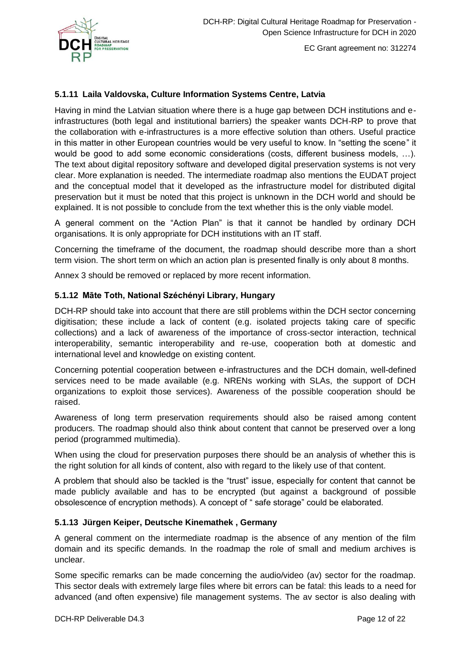

#### <span id="page-11-0"></span>**5.1.11 Laila Valdovska, Culture Information Systems Centre, Latvia**

Having in mind the Latvian situation where there is a huge gap between DCH institutions and einfrastructures (both legal and institutional barriers) the speaker wants DCH-RP to prove that the collaboration with e-infrastructures is a more effective solution than others. Useful practice in this matter in other European countries would be very useful to know. In "setting the scene" it would be good to add some economic considerations (costs, different business models, …). The text about digital repository software and developed digital preservation systems is not very clear. More explanation is needed. The intermediate roadmap also mentions the EUDAT project and the conceptual model that it developed as the infrastructure model for distributed digital preservation but it must be noted that this project is unknown in the DCH world and should be explained. It is not possible to conclude from the text whether this is the only viable model.

A general comment on the "Action Plan" is that it cannot be handled by ordinary DCH organisations. It is only appropriate for DCH institutions with an IT staff.

Concerning the timeframe of the document, the roadmap should describe more than a short term vision. The short term on which an action plan is presented finally is only about 8 months.

Annex 3 should be removed or replaced by more recent information.

#### <span id="page-11-1"></span>**5.1.12 Māte Toth, National Széchényi Library, Hungary**

DCH-RP should take into account that there are still problems within the DCH sector concerning digitisation; these include a lack of content (e.g. isolated projects taking care of specific collections) and a lack of awareness of the importance of cross-sector interaction, technical interoperability, semantic interoperability and re-use, cooperation both at domestic and international level and knowledge on existing content.

Concerning potential cooperation between e-infrastructures and the DCH domain, well-defined services need to be made available (e.g. NRENs working with SLAs, the support of DCH organizations to exploit those services). Awareness of the possible cooperation should be raised.

Awareness of long term preservation requirements should also be raised among content producers. The roadmap should also think about content that cannot be preserved over a long period (programmed multimedia).

When using the cloud for preservation purposes there should be an analysis of whether this is the right solution for all kinds of content, also with regard to the likely use of that content.

A problem that should also be tackled is the "trust" issue, especially for content that cannot be made publicly available and has to be encrypted (but against a background of possible obsolescence of encryption methods). A concept of " safe storage" could be elaborated.

#### <span id="page-11-2"></span>**5.1.13 Jürgen Keiper, Deutsche Kinemathek , Germany**

A general comment on the intermediate roadmap is the absence of any mention of the film domain and its specific demands. In the roadmap the role of small and medium archives is unclear.

Some specific remarks can be made concerning the audio/video (av) sector for the roadmap. This sector deals with extremely large files where bit errors can be fatal: this leads to a need for advanced (and often expensive) file management systems. The av sector is also dealing with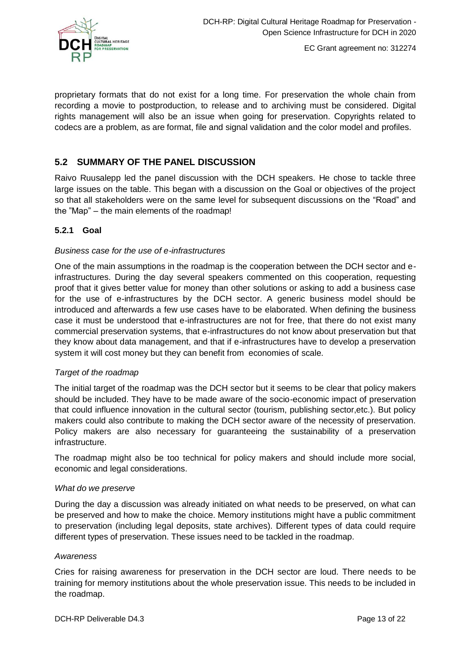

proprietary formats that do not exist for a long time. For preservation the whole chain from recording a movie to postproduction, to release and to archiving must be considered. Digital rights management will also be an issue when going for preservation. Copyrights related to codecs are a problem, as are format, file and signal validation and the color model and profiles.

### <span id="page-12-0"></span>**5.2 SUMMARY OF THE PANEL DISCUSSION**

Raivo Ruusalepp led the panel discussion with the DCH speakers. He chose to tackle three large issues on the table. This began with a discussion on the Goal or objectives of the project so that all stakeholders were on the same level for subsequent discussions on the "Road" and the "Map" – the main elements of the roadmap!

### <span id="page-12-1"></span>**5.2.1 Goal**

#### *Business case for the use of e-infrastructures*

One of the main assumptions in the roadmap is the cooperation between the DCH sector and einfrastructures. During the day several speakers commented on this cooperation, requesting proof that it gives better value for money than other solutions or asking to add a business case for the use of e-infrastructures by the DCH sector. A generic business model should be introduced and afterwards a few use cases have to be elaborated. When defining the business case it must be understood that e-infrastructures are not for free, that there do not exist many commercial preservation systems, that e-infrastructures do not know about preservation but that they know about data management, and that if e-infrastructures have to develop a preservation system it will cost money but they can benefit from economies of scale.

#### *Target of the roadmap*

The initial target of the roadmap was the DCH sector but it seems to be clear that policy makers should be included. They have to be made aware of the socio-economic impact of preservation that could influence innovation in the cultural sector (tourism, publishing sector,etc.). But policy makers could also contribute to making the DCH sector aware of the necessity of preservation. Policy makers are also necessary for guaranteeing the sustainability of a preservation infrastructure.

The roadmap might also be too technical for policy makers and should include more social, economic and legal considerations.

#### *What do we preserve*

During the day a discussion was already initiated on what needs to be preserved, on what can be preserved and how to make the choice. Memory institutions might have a public commitment to preservation (including legal deposits, state archives). Different types of data could require different types of preservation. These issues need to be tackled in the roadmap.

#### *Awareness*

Cries for raising awareness for preservation in the DCH sector are loud. There needs to be training for memory institutions about the whole preservation issue. This needs to be included in the roadmap.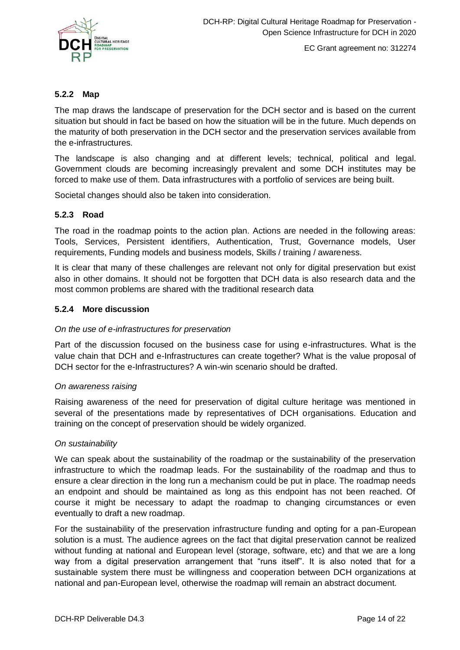

#### <span id="page-13-0"></span>**5.2.2 Map**

The map draws the landscape of preservation for the DCH sector and is based on the current situation but should in fact be based on how the situation will be in the future. Much depends on the maturity of both preservation in the DCH sector and the preservation services available from the e-infrastructures.

The landscape is also changing and at different levels; technical, political and legal. Government clouds are becoming increasingly prevalent and some DCH institutes may be forced to make use of them. Data infrastructures with a portfolio of services are being built.

Societal changes should also be taken into consideration.

### <span id="page-13-1"></span>**5.2.3 Road**

The road in the roadmap points to the action plan. Actions are needed in the following areas: Tools, Services, Persistent identifiers, Authentication, Trust, Governance models, User requirements, Funding models and business models, Skills / training / awareness.

It is clear that many of these challenges are relevant not only for digital preservation but exist also in other domains. It should not be forgotten that DCH data is also research data and the most common problems are shared with the traditional research data

#### <span id="page-13-2"></span>**5.2.4 More discussion**

#### *On the use of e-infrastructures for preservation*

Part of the discussion focused on the business case for using e-infrastructures. What is the value chain that DCH and e-Infrastructures can create together? What is the value proposal of DCH sector for the e-Infrastructures? A win-win scenario should be drafted.

#### *On awareness raising*

Raising awareness of the need for preservation of digital culture heritage was mentioned in several of the presentations made by representatives of DCH organisations. Education and training on the concept of preservation should be widely organized.

#### *On sustainability*

We can speak about the sustainability of the roadmap or the sustainability of the preservation infrastructure to which the roadmap leads. For the sustainability of the roadmap and thus to ensure a clear direction in the long run a mechanism could be put in place. The roadmap needs an endpoint and should be maintained as long as this endpoint has not been reached. Of course it might be necessary to adapt the roadmap to changing circumstances or even eventually to draft a new roadmap.

For the sustainability of the preservation infrastructure funding and opting for a pan-European solution is a must. The audience agrees on the fact that digital preservation cannot be realized without funding at national and European level (storage, software, etc) and that we are a long way from a digital preservation arrangement that "runs itself". It is also noted that for a sustainable system there must be willingness and cooperation between DCH organizations at national and pan-European level, otherwise the roadmap will remain an abstract document.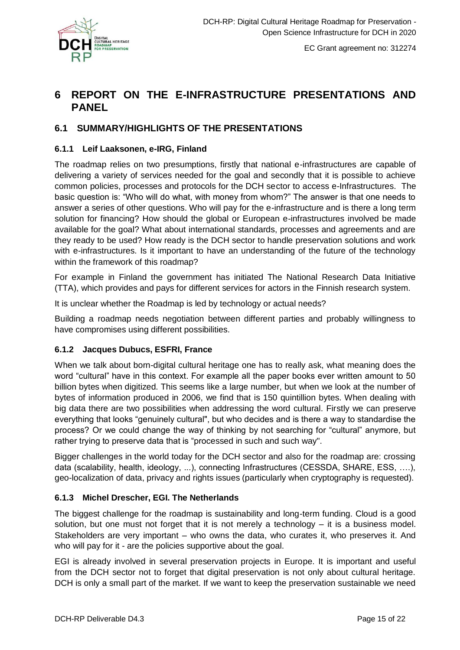

# <span id="page-14-0"></span>**6 REPORT ON THE E-INFRASTRUCTURE PRESENTATIONS AND PANEL**

### <span id="page-14-1"></span>**6.1 SUMMARY/HIGHLIGHTS OF THE PRESENTATIONS**

#### <span id="page-14-2"></span>**6.1.1 Leif Laaksonen, e-IRG, Finland**

The roadmap relies on two presumptions, firstly that national e-infrastructures are capable of delivering a variety of services needed for the goal and secondly that it is possible to achieve common policies, processes and protocols for the DCH sector to access e-Infrastructures. The basic question is: "Who will do what, with money from whom?" The answer is that one needs to answer a series of other questions. Who will pay for the e-infrastructure and is there a long term solution for financing? How should the global or European e-infrastructures involved be made available for the goal? What about international standards, processes and agreements and are they ready to be used? How ready is the DCH sector to handle preservation solutions and work with e-infrastructures. Is it important to have an understanding of the future of the technology within the framework of this roadmap?

For example in Finland the government has initiated The National Research Data Initiative (TTA), which provides and pays for different services for actors in the Finnish research system.

It is unclear whether the Roadmap is led by technology or actual needs?

Building a roadmap needs negotiation between different parties and probably willingness to have compromises using different possibilities.

#### <span id="page-14-3"></span>**6.1.2 Jacques Dubucs, ESFRI, France**

When we talk about born-digital cultural heritage one has to really ask, what meaning does the word "cultural" have in this context. For example all the paper books ever written amount to 50 billion bytes when digitized. This seems like a large number, but when we look at the number of bytes of information produced in 2006, we find that is 150 quintillion bytes. When dealing with big data there are two possibilities when addressing the word cultural. Firstly we can preserve everything that looks "genuinely cultural", but who decides and is there a way to standardise the process? Or we could change the way of thinking by not searching for "cultural" anymore, but rather trying to preserve data that is "processed in such and such way".

Bigger challenges in the world today for the DCH sector and also for the roadmap are: crossing data (scalability, health, ideology, ...), connecting Infrastructures (CESSDA, SHARE, ESS, ….), geo-localization of data, privacy and rights issues (particularly when cryptography is requested).

#### <span id="page-14-4"></span>**6.1.3 Michel Drescher, EGI. The Netherlands**

The biggest challenge for the roadmap is sustainability and long-term funding. Cloud is a good solution, but one must not forget that it is not merely a technology – it is a business model. Stakeholders are very important – who owns the data, who curates it, who preserves it. And who will pay for it - are the policies supportive about the goal.

EGI is already involved in several preservation projects in Europe. It is important and useful from the DCH sector not to forget that digital preservation is not only about cultural heritage. DCH is only a small part of the market. If we want to keep the preservation sustainable we need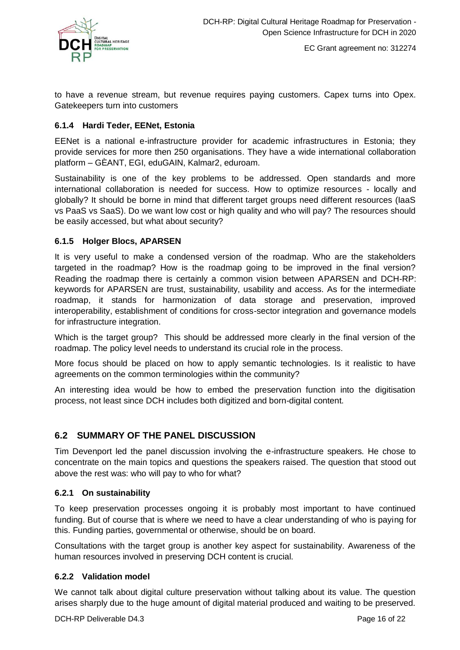

to have a revenue stream, but revenue requires paying customers. Capex turns into Opex. Gatekeepers turn into customers

#### <span id="page-15-0"></span>**6.1.4 Hardi Teder, EENet, Estonia**

EENet is a national e-infrastructure provider for academic infrastructures in Estonia; they provide services for more then 250 organisations. They have a wide international collaboration platform – GÈANT, EGI, eduGAIN, Kalmar2, eduroam.

Sustainability is one of the key problems to be addressed. Open standards and more international collaboration is needed for success. How to optimize resources - locally and globally? It should be borne in mind that different target groups need different resources (IaaS vs PaaS vs SaaS). Do we want low cost or high quality and who will pay? The resources should be easily accessed, but what about security?

#### <span id="page-15-1"></span>**6.1.5 Holger Blocs, APARSEN**

It is very useful to make a condensed version of the roadmap. Who are the stakeholders targeted in the roadmap? How is the roadmap going to be improved in the final version? Reading the roadmap there is certainly a common vision between APARSEN and DCH-RP: keywords for APARSEN are trust, sustainability, usability and access. As for the intermediate roadmap, it stands for harmonization of data storage and preservation, improved interoperability, establishment of conditions for cross-sector integration and governance models for infrastructure integration.

Which is the target group? This should be addressed more clearly in the final version of the roadmap. The policy level needs to understand its crucial role in the process.

More focus should be placed on how to apply semantic technologies. Is it realistic to have agreements on the common terminologies within the community?

An interesting idea would be how to embed the preservation function into the digitisation process, not least since DCH includes both digitized and born-digital content.

### <span id="page-15-2"></span>**6.2 SUMMARY OF THE PANEL DISCUSSION**

Tim Devenport led the panel discussion involving the e-infrastructure speakers. He chose to concentrate on the main topics and questions the speakers raised. The question that stood out above the rest was: who will pay to who for what?

#### <span id="page-15-3"></span>**6.2.1 On sustainability**

To keep preservation processes ongoing it is probably most important to have continued funding. But of course that is where we need to have a clear understanding of who is paying for this. Funding parties, governmental or otherwise, should be on board.

Consultations with the target group is another key aspect for sustainability. Awareness of the human resources involved in preserving DCH content is crucial.

#### <span id="page-15-4"></span>**6.2.2 Validation model**

We cannot talk about digital culture preservation without talking about its value. The question arises sharply due to the huge amount of digital material produced and waiting to be preserved.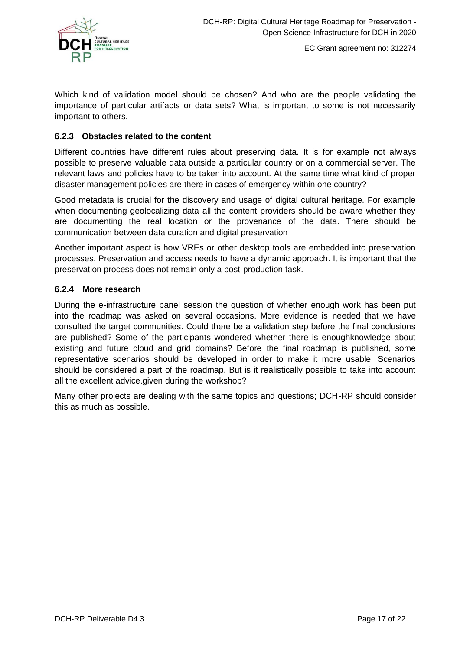

Which kind of validation model should be chosen? And who are the people validating the importance of particular artifacts or data sets? What is important to some is not necessarily important to others.

#### <span id="page-16-0"></span>**6.2.3 Obstacles related to the content**

Different countries have different rules about preserving data. It is for example not always possible to preserve valuable data outside a particular country or on a commercial server. The relevant laws and policies have to be taken into account. At the same time what kind of proper disaster management policies are there in cases of emergency within one country?

Good metadata is crucial for the discovery and usage of digital cultural heritage. For example when documenting geolocalizing data all the content providers should be aware whether they are documenting the real location or the provenance of the data. There should be communication between data curation and digital preservation

Another important aspect is how VREs or other desktop tools are embedded into preservation processes. Preservation and access needs to have a dynamic approach. It is important that the preservation process does not remain only a post-production task.

#### <span id="page-16-1"></span>**6.2.4 More research**

During the e-infrastructure panel session the question of whether enough work has been put into the roadmap was asked on several occasions. More evidence is needed that we have consulted the target communities. Could there be a validation step before the final conclusions are published? Some of the participants wondered whether there is enoughknowledge about existing and future cloud and grid domains? Before the final roadmap is published, some representative scenarios should be developed in order to make it more usable. Scenarios should be considered a part of the roadmap. But is it realistically possible to take into account all the excellent advice.given during the workshop?

Many other projects are dealing with the same topics and questions; DCH-RP should consider this as much as possible.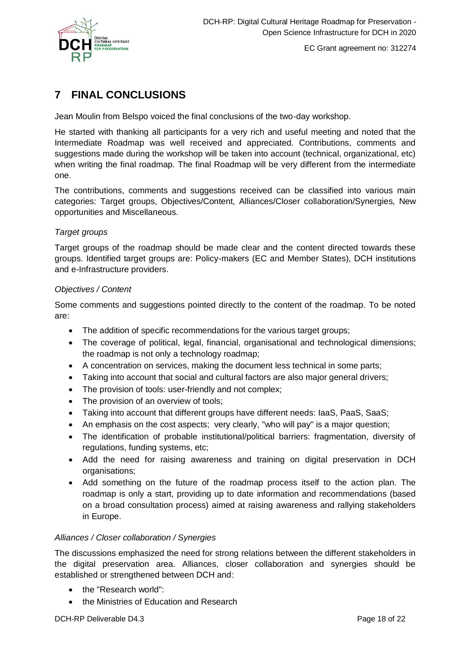

# <span id="page-17-0"></span>**7 FINAL CONCLUSIONS**

Jean Moulin from Belspo voiced the final conclusions of the two-day workshop.

He started with thanking all participants for a very rich and useful meeting and noted that the Intermediate Roadmap was well received and appreciated. Contributions, comments and suggestions made during the workshop will be taken into account (technical, organizational, etc) when writing the final roadmap. The final Roadmap will be very different from the intermediate one.

The contributions, comments and suggestions received can be classified into various main categories: Target groups, Objectives/Content, Alliances/Closer collaboration/Synergies, New opportunities and Miscellaneous.

### *Target groups*

Target groups of the roadmap should be made clear and the content directed towards these groups. Identified target groups are: Policy-makers (EC and Member States), DCH institutions and e-Infrastructure providers.

#### *Objectives / Content*

Some comments and suggestions pointed directly to the content of the roadmap. To be noted are:

- The addition of specific recommendations for the various target groups;
- The coverage of political, legal, financial, organisational and technological dimensions; the roadmap is not only a technology roadmap;
- A concentration on services, making the document less technical in some parts;
- Taking into account that social and cultural factors are also major general drivers;
- The provision of tools: user-friendly and not complex;
- The provision of an overview of tools;
- Taking into account that different groups have different needs: IaaS, PaaS, SaaS;
- An emphasis on the cost aspects; very clearly, "who will pay" is a major question;
- The identification of probable institutional/political barriers: fragmentation, diversity of regulations, funding systems, etc;
- Add the need for raising awareness and training on digital preservation in DCH organisations;
- Add something on the future of the roadmap process itself to the action plan. The roadmap is only a start, providing up to date information and recommendations (based on a broad consultation process) aimed at raising awareness and rallying stakeholders in Europe.

#### *Alliances / Closer collaboration / Synergies*

The discussions emphasized the need for strong relations between the different stakeholders in the digital preservation area. Alliances, closer collaboration and synergies should be established or strengthened between DCH and:

- the "Research world":
- the Ministries of Education and Research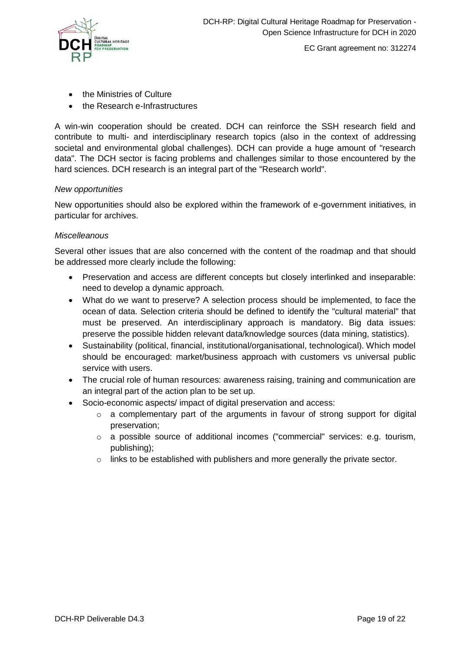

- the Ministries of Culture
- the Research e-Infrastructures

A win-win cooperation should be created. DCH can reinforce the SSH research field and contribute to multi- and interdisciplinary research topics (also in the context of addressing societal and environmental global challenges). DCH can provide a huge amount of "research data". The DCH sector is facing problems and challenges similar to those encountered by the hard sciences. DCH research is an integral part of the "Research world".

#### *New opportunities*

New opportunities should also be explored within the framework of e-government initiatives, in particular for archives.

#### *Miscelleanous*

Several other issues that are also concerned with the content of the roadmap and that should be addressed more clearly include the following:

- Preservation and access are different concepts but closely interlinked and inseparable: need to develop a dynamic approach.
- What do we want to preserve? A selection process should be implemented, to face the ocean of data. Selection criteria should be defined to identify the "cultural material" that must be preserved. An interdisciplinary approach is mandatory. Big data issues: preserve the possible hidden relevant data/knowledge sources (data mining, statistics).
- Sustainability (political, financial, institutional/organisational, technological). Which model should be encouraged: market/business approach with customers vs universal public service with users.
- The crucial role of human resources: awareness raising, training and communication are an integral part of the action plan to be set up.
- Socio-economic aspects/ impact of digital preservation and access:
	- o a complementary part of the arguments in favour of strong support for digital preservation;
	- $\circ$  a possible source of additional incomes ("commercial" services: e.g. tourism, publishing);
	- $\circ$  links to be established with publishers and more generally the private sector.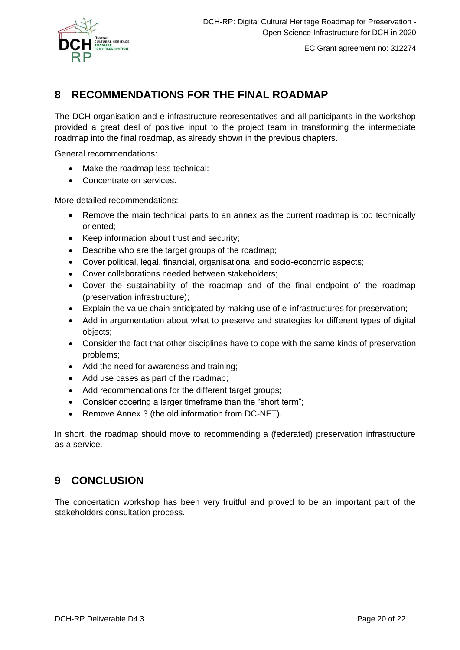

# <span id="page-19-0"></span>**8 RECOMMENDATIONS FOR THE FINAL ROADMAP**

The DCH organisation and e-infrastructure representatives and all participants in the workshop provided a great deal of positive input to the project team in transforming the intermediate roadmap into the final roadmap, as already shown in the previous chapters.

General recommendations:

- Make the roadmap less technical:
- Concentrate on services.

More detailed recommendations:

- Remove the main technical parts to an annex as the current roadmap is too technically oriented;
- Keep information about trust and security;
- Describe who are the target groups of the roadmap;
- Cover political, legal, financial, organisational and socio-economic aspects;
- Cover collaborations needed between stakeholders;
- Cover the sustainability of the roadmap and of the final endpoint of the roadmap (preservation infrastructure);
- Explain the value chain anticipated by making use of e-infrastructures for preservation;
- Add in argumentation about what to preserve and strategies for different types of digital objects;
- Consider the fact that other disciplines have to cope with the same kinds of preservation problems;
- Add the need for awareness and training;
- Add use cases as part of the roadmap;
- Add recommendations for the different target groups;
- Consider cocering a larger timeframe than the "short term";
- Remove Annex 3 (the old information from DC-NET).

In short, the roadmap should move to recommending a (federated) preservation infrastructure as a service.

# <span id="page-19-1"></span>**9 CONCLUSION**

The concertation workshop has been very fruitful and proved to be an important part of the stakeholders consultation process.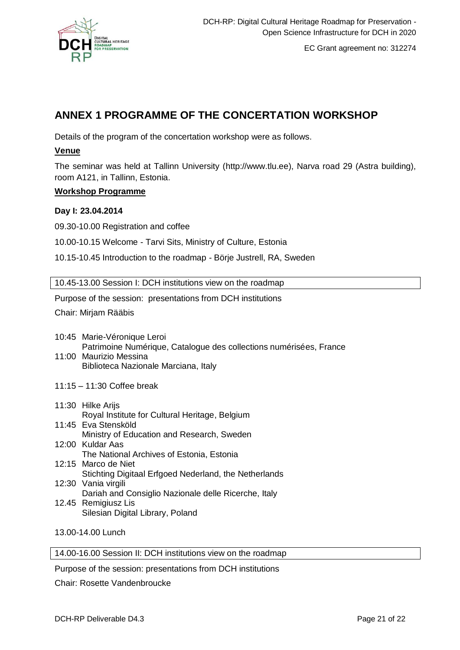

# <span id="page-20-0"></span>**ANNEX 1 PROGRAMME OF THE CONCERTATION WORKSHOP**

Details of the program of the concertation workshop were as follows.

### **Venue**

The seminar was held at Tallinn University (http://www.tlu.ee), Narva road 29 (Astra building), room A121, in Tallinn, Estonia.

### **Workshop Programme**

#### **Day I: 23.04.2014**

09.30-10.00 Registration and coffee

10.00-10.15 Welcome - Tarvi Sits, Ministry of Culture, Estonia

10.15-10.45 Introduction to the roadmap - Börje Justrell, RA, Sweden

10.45-13.00 Session I: DCH institutions view on the roadmap

Purpose of the session: presentations from DCH institutions

Chair: Mirjam Rääbis

- 10:45 Marie-Véronique Leroi Patrimoine Numérique, Catalogue des collections numérisées, France
- 11:00 Maurizio Messina Biblioteca Nazionale Marciana, Italy
- 11:15 11:30 Coffee break
- 11:30 Hilke Arijs [Royal Institute for Cultural Heritage,](http://www.kikirpa.be/EN/) Belgium 11:45 Eva Stensköld Ministry of Education and Research, Sweden
- 12:00 Kuldar Aas The National Archives of Estonia, Estonia 12:15 Marco de Niet
- Stichting Digitaal Erfgoed Nederland, the Netherlands
- 12:30 Vania virgili Dariah and Consiglio Nazionale delle Ricerche, Italy 12.45 Remigiusz Lis
	- Silesian Digital Library, Poland

13.00-14.00 Lunch

14.00-16.00 Session II: DCH institutions view on the roadmap

Purpose of the session: presentations from DCH institutions

Chair: Rosette Vandenbroucke